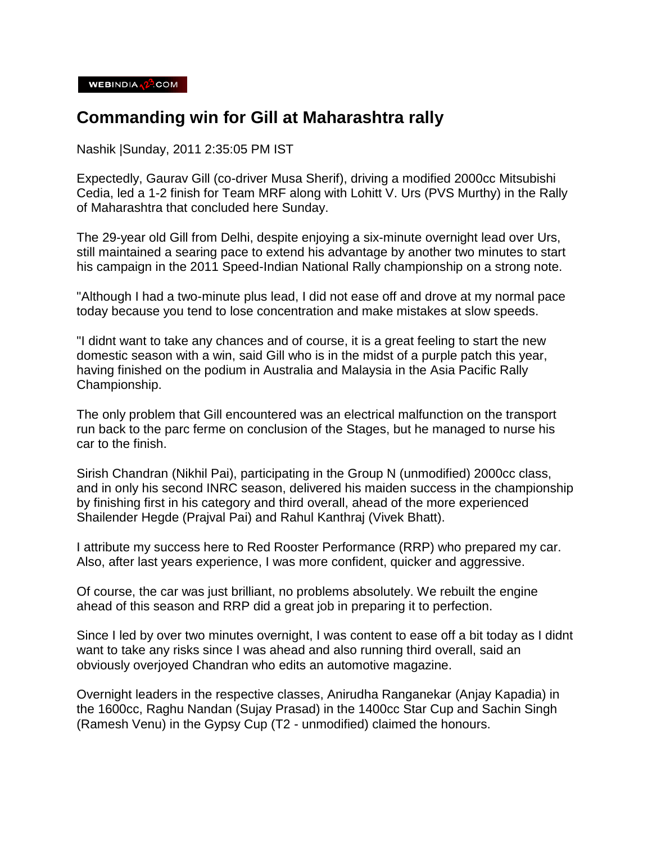## **Commanding win for Gill at Maharashtra rally**

Nashik |Sunday, 2011 2:35:05 PM IST

Expectedly, Gaurav Gill (co-driver Musa Sherif), driving a modified 2000cc Mitsubishi Cedia, led a 1-2 finish for Team MRF along with Lohitt V. Urs (PVS Murthy) in the Rally of Maharashtra that concluded here Sunday.

The 29-year old Gill from Delhi, despite enjoying a six-minute overnight lead over Urs, still maintained a searing pace to extend his advantage by another two minutes to start his campaign in the 2011 Speed-Indian National Rally championship on a strong note.

"Although I had a two-minute plus lead, I did not ease off and drove at my normal pace today because you tend to lose concentration and make mistakes at slow speeds.

"I didnt want to take any chances and of course, it is a great feeling to start the new domestic season with a win, said Gill who is in the midst of a purple patch this year, having finished on the podium in Australia and Malaysia in the Asia Pacific Rally Championship.

The only problem that Gill encountered was an electrical malfunction on the transport run back to the parc ferme on conclusion of the Stages, but he managed to nurse his car to the finish.

Sirish Chandran (Nikhil Pai), participating in the Group N (unmodified) 2000cc class, and in only his second INRC season, delivered his maiden success in the championship by finishing first in his category and third overall, ahead of the more experienced Shailender Hegde (Prajval Pai) and Rahul Kanthraj (Vivek Bhatt).

I attribute my success here to Red Rooster Performance (RRP) who prepared my car. Also, after last years experience, I was more confident, quicker and aggressive.

Of course, the car was just brilliant, no problems absolutely. We rebuilt the engine ahead of this season and RRP did a great job in preparing it to perfection.

Since I led by over two minutes overnight, I was content to ease off a bit today as I didnt want to take any risks since I was ahead and also running third overall, said an obviously overjoyed Chandran who edits an automotive magazine.

Overnight leaders in the respective classes, Anirudha Ranganekar (Anjay Kapadia) in the 1600cc, Raghu Nandan (Sujay Prasad) in the 1400cc Star Cup and Sachin Singh (Ramesh Venu) in the Gypsy Cup (T2 - unmodified) claimed the honours.